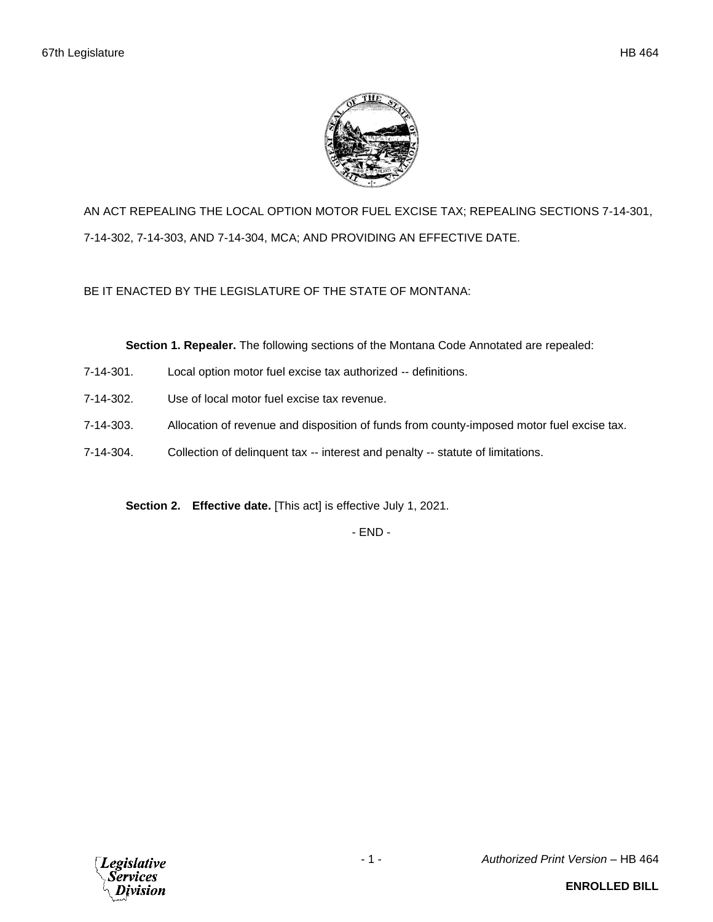

AN ACT REPEALING THE LOCAL OPTION MOTOR FUEL EXCISE TAX; REPEALING SECTIONS 7-14-301, 7-14-302, 7-14-303, AND 7-14-304, MCA; AND PROVIDING AN EFFECTIVE DATE.

BE IT ENACTED BY THE LEGISLATURE OF THE STATE OF MONTANA:

**Section 1. Repealer.** The following sections of the Montana Code Annotated are repealed:

- 7-14-301. Local option motor fuel excise tax authorized -- definitions.
- 7-14-302. Use of local motor fuel excise tax revenue.
- 7-14-303. Allocation of revenue and disposition of funds from county-imposed motor fuel excise tax.
- 7-14-304. Collection of delinquent tax -- interest and penalty -- statute of limitations.

**Section 2. Effective date.** [This act] is effective July 1, 2021.

- END -

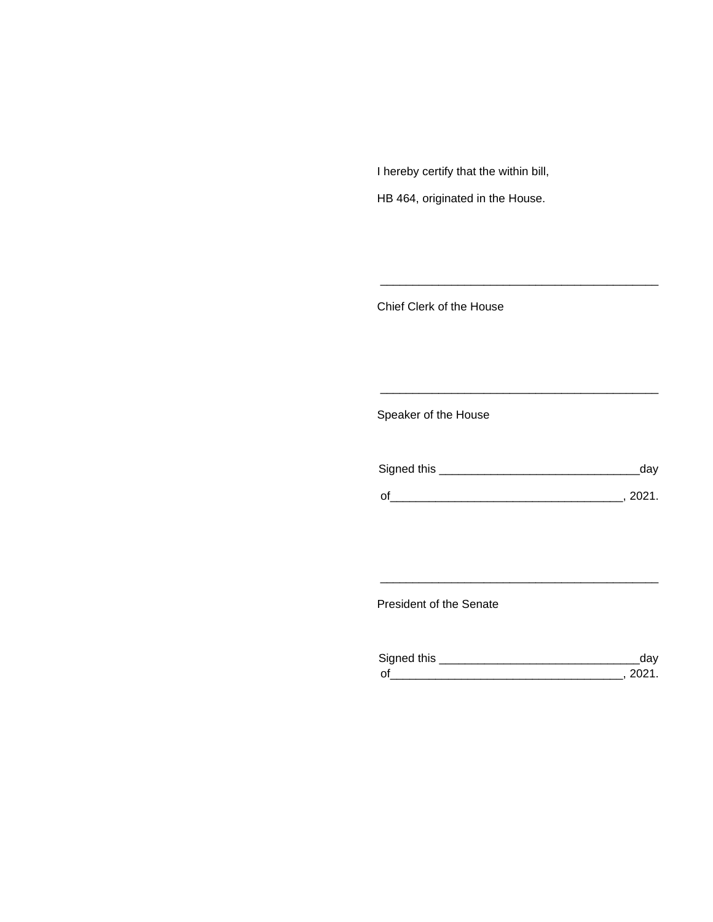I hereby certify that the within bill,

HB 464, originated in the House.

Chief Clerk of the House

Speaker of the House

| Signed this | dav    |
|-------------|--------|
| $\Omega'$   | -2021. |

\_\_\_\_\_\_\_\_\_\_\_\_\_\_\_\_\_\_\_\_\_\_\_\_\_\_\_\_\_\_\_\_\_\_\_\_\_\_\_\_\_\_\_

\_\_\_\_\_\_\_\_\_\_\_\_\_\_\_\_\_\_\_\_\_\_\_\_\_\_\_\_\_\_\_\_\_\_\_\_\_\_\_\_\_\_\_

President of the Senate

| Sianed this |  |
|-------------|--|
| $\Omega$    |  |

\_\_\_\_\_\_\_\_\_\_\_\_\_\_\_\_\_\_\_\_\_\_\_\_\_\_\_\_\_\_\_\_\_\_\_\_\_\_\_\_\_\_\_